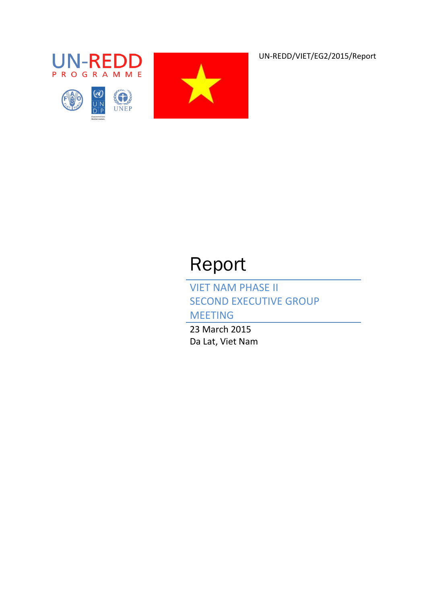UN-REDD/VIET/EG2/2015/Report







# Report

VIET NAM PHASE II SECOND EXECUTIVE GROUP

MEETING

23 March 2015 Da Lat, Viet Nam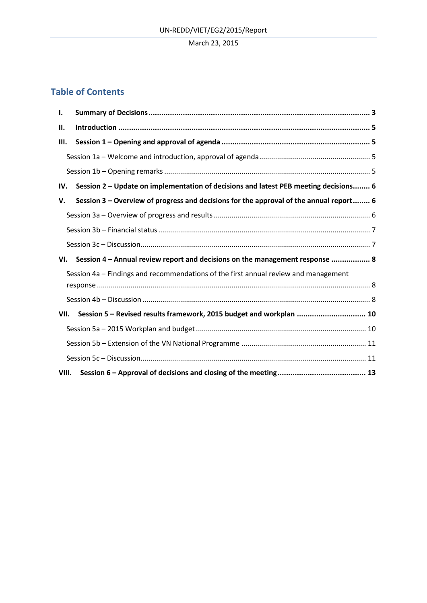# **Table of Contents**

| Ι.    |                                                                                        |  |
|-------|----------------------------------------------------------------------------------------|--|
| Н.    |                                                                                        |  |
| Ш.    |                                                                                        |  |
|       |                                                                                        |  |
|       |                                                                                        |  |
| IV.   | Session 2 - Update on implementation of decisions and latest PEB meeting decisions 6   |  |
| V.    | Session 3 – Overview of progress and decisions for the approval of the annual report 6 |  |
|       |                                                                                        |  |
|       |                                                                                        |  |
|       |                                                                                        |  |
| VI.   | Session 4 - Annual review report and decisions on the management response  8           |  |
|       | Session 4a - Findings and recommendations of the first annual review and management    |  |
|       |                                                                                        |  |
|       |                                                                                        |  |
| VII.  | Session 5 - Revised results framework, 2015 budget and workplan  10                    |  |
|       |                                                                                        |  |
|       |                                                                                        |  |
|       |                                                                                        |  |
| VIII. |                                                                                        |  |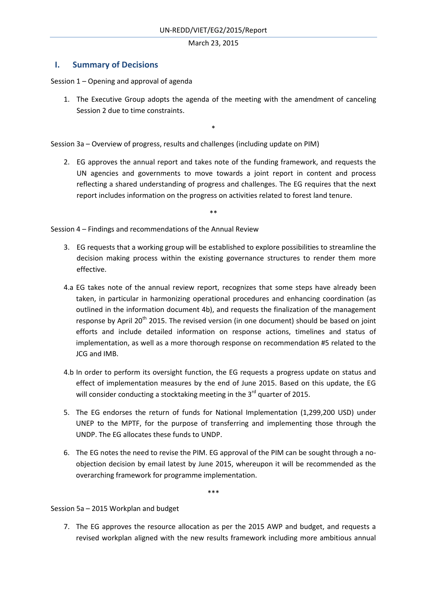# **I. Summary of Decisions**

Session 1 – Opening and approval of agenda

1. The Executive Group adopts the agenda of the meeting with the amendment of canceling Session 2 due to time constraints.

\*

Session 3a – Overview of progress, results and challenges (including update on PIM)

2. EG approves the annual report and takes note of the funding framework, and requests the UN agencies and governments to move towards a joint report in content and process reflecting a shared understanding of progress and challenges. The EG requires that the next report includes information on the progress on activities related to forest land tenure.

\*\*

Session 4 – Findings and recommendations of the Annual Review

- 3. EG requests that a working group will be established to explore possibilities to streamline the decision making process within the existing governance structures to render them more effective.
- 4.a EG takes note of the annual review report, recognizes that some steps have already been taken, in particular in harmonizing operational procedures and enhancing coordination (as outlined in the information document 4b), and requests the finalization of the management response by April 20<sup>th</sup> 2015. The revised version (in one document) should be based on joint efforts and include detailed information on response actions, timelines and status of implementation, as well as a more thorough response on recommendation #5 related to the JCG and IMB.
- 4.b In order to perform its oversight function, the EG requests a progress update on status and effect of implementation measures by the end of June 2015. Based on this update, the EG will consider conducting a stocktaking meeting in the 3<sup>rd</sup> quarter of 2015.
- 5. The EG endorses the return of funds for National Implementation (1,299,200 USD) under UNEP to the MPTF, for the purpose of transferring and implementing those through the UNDP. The EG allocates these funds to UNDP.
- 6. The EG notes the need to revise the PIM. EG approval of the PIM can be sought through a noobjection decision by email latest by June 2015, whereupon it will be recommended as the overarching framework for programme implementation.

\*\*\*

Session 5a – 2015 Workplan and budget

7. The EG approves the resource allocation as per the 2015 AWP and budget, and requests a revised workplan aligned with the new results framework including more ambitious annual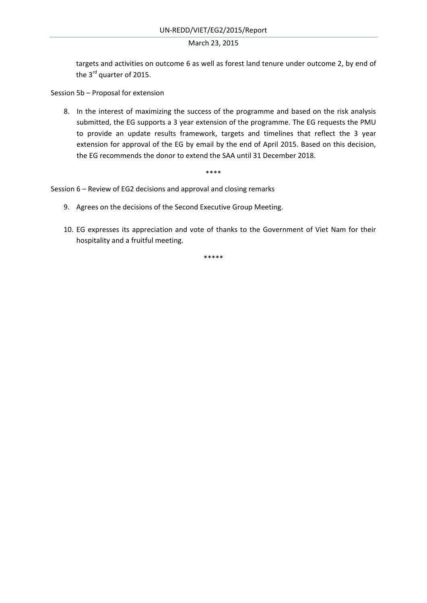targets and activities on outcome 6 as well as forest land tenure under outcome 2, by end of the 3<sup>rd</sup> quarter of 2015.

Session 5b – Proposal for extension

8. In the interest of maximizing the success of the programme and based on the risk analysis submitted, the EG supports a 3 year extension of the programme. The EG requests the PMU to provide an update results framework, targets and timelines that reflect the 3 year extension for approval of the EG by email by the end of April 2015. Based on this decision, the EG recommends the donor to extend the SAA until 31 December 2018.

\*\*\*\*

Session 6 – Review of EG2 decisions and approval and closing remarks

- 9. Agrees on the decisions of the Second Executive Group Meeting.
- 10. EG expresses its appreciation and vote of thanks to the Government of Viet Nam for their hospitality and a fruitful meeting.

\*\*\*\*\*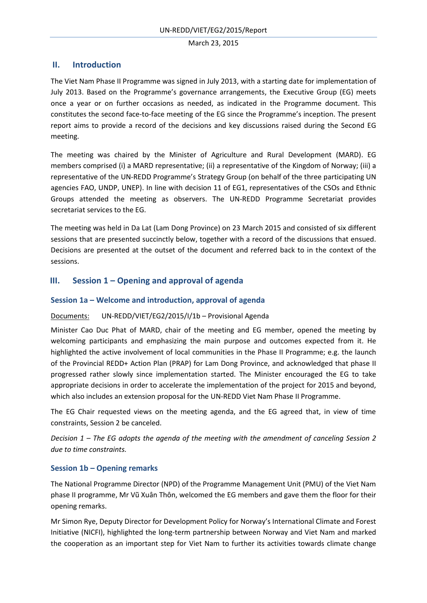# **II. Introduction**

The Viet Nam Phase II Programme was signed in July 2013, with a starting date for implementation of July 2013. Based on the Programme's governance arrangements, the Executive Group (EG) meets once a year or on further occasions as needed, as indicated in the Programme document. This constitutes the second face-to-face meeting of the EG since the Programme's inception. The present report aims to provide a record of the decisions and key discussions raised during the Second EG meeting.

The meeting was chaired by the Minister of Agriculture and Rural Development (MARD). EG members comprised (i) a MARD representative; (ii) a representative of the Kingdom of Norway; (iii) a representative of the UN-REDD Programme's Strategy Group (on behalf of the three participating UN agencies FAO, UNDP, UNEP). In line with decision 11 of EG1, representatives of the CSOs and Ethnic Groups attended the meeting as observers. The UN-REDD Programme Secretariat provides secretariat services to the EG.

The meeting was held in Da Lat (Lam Dong Province) on 23 March 2015 and consisted of six different sessions that are presented succinctly below, together with a record of the discussions that ensued. Decisions are presented at the outset of the document and referred back to in the context of the sessions.

# **III. Session 1 – Opening and approval of agenda**

# **Session 1a – Welcome and introduction, approval of agenda**

# Documents: UN-REDD/VIET/EG2/2015/I/1b – Provisional Agenda

Minister Cao Duc Phat of MARD, chair of the meeting and EG member, opened the meeting by welcoming participants and emphasizing the main purpose and outcomes expected from it. He highlighted the active involvement of local communities in the Phase II Programme; e.g. the launch of the Provincial REDD+ Action Plan (PRAP) for Lam Dong Province, and acknowledged that phase II progressed rather slowly since implementation started. The Minister encouraged the EG to take appropriate decisions in order to accelerate the implementation of the project for 2015 and beyond, which also includes an extension proposal for the UN-REDD Viet Nam Phase II Programme.

The EG Chair requested views on the meeting agenda, and the EG agreed that, in view of time constraints, Session 2 be canceled.

*Decision 1 – The EG adopts the agenda of the meeting with the amendment of canceling Session 2 due to time constraints.* 

# **Session 1b – Opening remarks**

The National Programme Director (NPD) of the Programme Management Unit (PMU) of the Viet Nam phase II programme, Mr Vũ Xuân Thôn, welcomed the EG members and gave them the floor for their opening remarks.

Mr Simon Rye, Deputy Director for Development Policy for Norway's International Climate and Forest Initiative (NICFI), highlighted the long-term partnership between Norway and Viet Nam and marked the cooperation as an important step for Viet Nam to further its activities towards climate change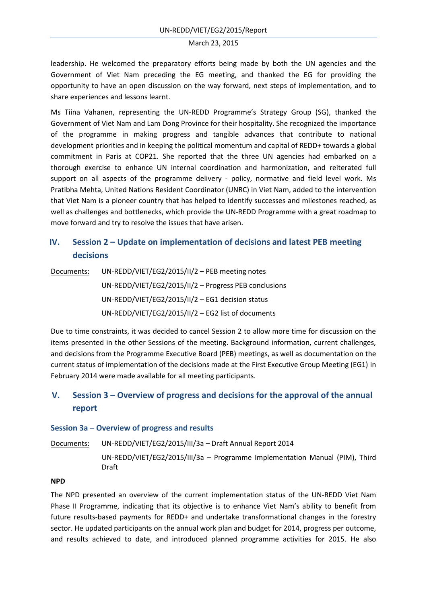leadership. He welcomed the preparatory efforts being made by both the UN agencies and the Government of Viet Nam preceding the EG meeting, and thanked the EG for providing the opportunity to have an open discussion on the way forward, next steps of implementation, and to share experiences and lessons learnt.

Ms Tiina Vahanen, representing the UN-REDD Programme's Strategy Group (SG), thanked the Government of Viet Nam and Lam Dong Province for their hospitality. She recognized the importance of the programme in making progress and tangible advances that contribute to national development priorities and in keeping the political momentum and capital of REDD+ towards a global commitment in Paris at COP21. She reported that the three UN agencies had embarked on a thorough exercise to enhance UN internal coordination and harmonization, and reiterated full support on all aspects of the programme delivery - policy, normative and field level work. Ms Pratibha Mehta, United Nations Resident Coordinator (UNRC) in Viet Nam, added to the intervention that Viet Nam is a pioneer country that has helped to identify successes and milestones reached, as well as challenges and bottlenecks, which provide the UN-REDD Programme with a great roadmap to move forward and try to resolve the issues that have arisen.

# **IV. Session 2 – Update on implementation of decisions and latest PEB meeting decisions**

Documents: UN-REDD/VIET/EG2/2015/II/2 – PEB meeting notes UN-REDD/VIET/EG2/2015/II/2 – Progress PEB conclusions UN-REDD/VIET/EG2/2015/II/2 – EG1 decision status UN-REDD/VIET/EG2/2015/II/2 – EG2 list of documents

Due to time constraints, it was decided to cancel Session 2 to allow more time for discussion on the items presented in the other Sessions of the meeting. Background information, current challenges, and decisions from the Programme Executive Board (PEB) meetings, as well as documentation on the current status of implementation of the decisions made at the First Executive Group Meeting (EG1) in February 2014 were made available for all meeting participants.

# **V. Session 3 – Overview of progress and decisions for the approval of the annual report**

#### **Session 3a – Overview of progress and results**

Documents: UN-REDD/VIET/EG2/2015/III/3a – Draft Annual Report 2014

UN-REDD/VIET/EG2/2015/III/3a – Programme Implementation Manual (PIM), Third Draft

#### **NPD**

The NPD presented an overview of the current implementation status of the UN-REDD Viet Nam Phase II Programme, indicating that its objective is to enhance Viet Nam's ability to benefit from future results-based payments for REDD+ and undertake transformational changes in the forestry sector. He updated participants on the annual work plan and budget for 2014, progress per outcome, and results achieved to date, and introduced planned programme activities for 2015. He also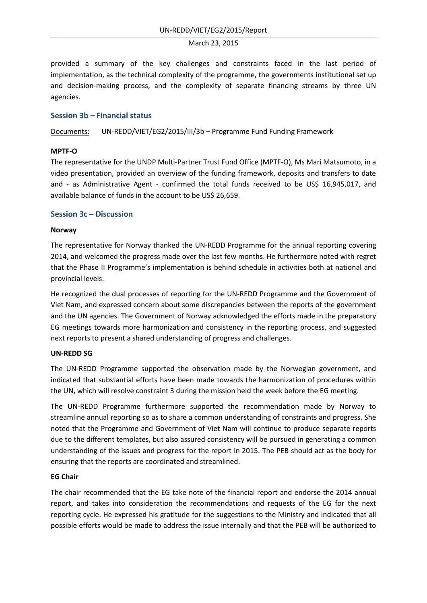provided a summary of the key challenges and constraints faced in the last period of implementation, as the technical complexity of the programme, the governments institutional set up and decision-making process, and the complexity of separate financing streams by three UN agencies.

# **Session 3b – Financial status**

Documents: UN-REDD/VIET/EG2/2015/III/3b – Programme Fund Funding Framework

#### **MPTF-O**

The representative for the UNDP Multi-Partner Trust Fund Office (MPTF-O), Ms Mari Matsumoto, in a video presentation, provided an overview of the funding framework, deposits and transfers to date and - as Administrative Agent - confirmed the total funds received to be US\$ 16,945,017, and available balance of funds in the account to be US\$ 26,659.

# **Session 3c – Discussion**

#### **Norway**

The representative for Norway thanked the UN-REDD Programme for the annual reporting covering 2014, and welcomed the progress made over the last few months. He furthermore noted with regret that the Phase II Programme's implementation is behind schedule in activities both at national and provincial levels.

He recognized the dual processes of reporting for the UN-REDD Programme and the Government of Viet Nam, and expressed concern about some discrepancies between the reports of the government and the UN agencies. The Government of Norway acknowledged the efforts made in the preparatory EG meetings towards more harmonization and consistency in the reporting process, and suggested next reports to present a shared understanding of progress and challenges.

# **UN-REDD SG**

The UN-REDD Programme supported the observation made by the Norwegian government, and indicated that substantial efforts have been made towards the harmonization of procedures within the UN, which will resolve constraint 3 during the mission held the week before the EG meeting.

The UN-REDD Programme furthermore supported the recommendation made by Norway to streamline annual reporting so as to share a common understanding of constraints and progress. She noted that the Programme and Government of Viet Nam will continue to produce separate reports due to the different templates, but also assured consistency will be pursued in generating a common understanding of the issues and progress for the report in 2015. The PEB should act as the body for ensuring that the reports are coordinated and streamlined.

# **EG Chair**

The chair recommended that the EG take note of the financial report and endorse the 2014 annual report, and takes into consideration the recommendations and requests of the EG for the next reporting cycle. He expressed his gratitude for the suggestions to the Ministry and indicated that all possible efforts would be made to address the issue internally and that the PEB will be authorized to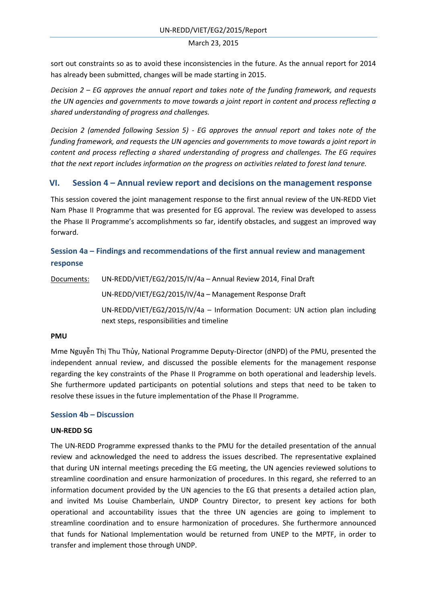sort out constraints so as to avoid these inconsistencies in the future. As the annual report for 2014 has already been submitted, changes will be made starting in 2015.

*Decision 2 – EG approves the annual report and takes note of the funding framework, and requests the UN agencies and governments to move towards a joint report in content and process reflecting a shared understanding of progress and challenges.* 

*Decision 2 (amended following Session 5) - EG approves the annual report and takes note of the funding framework, and requests the UN agencies and governments to move towards a joint report in content and process reflecting a shared understanding of progress and challenges. The EG requires that the next report includes information on the progress on activities related to forest land tenure.*

# **VI. Session 4 – Annual review report and decisions on the management response**

This session covered the joint management response to the first annual review of the UN-REDD Viet Nam Phase II Programme that was presented for EG approval. The review was developed to assess the Phase II Programme's accomplishments so far, identify obstacles, and suggest an improved way forward.

# **Session 4a – Findings and recommendations of the first annual review and management response**

Documents: UN-REDD/VIET/EG2/2015/IV/4a – Annual Review 2014, Final Draft

UN-REDD/VIET/EG2/2015/IV/4a – Management Response Draft

UN-REDD/VIET/EG2/2015/IV/4a – Information Document: UN action plan including next steps, responsibilities and timeline

# **PMU**

Mme Nguyễn Thị Thu Thủy, National Programme Deputy-Director (dNPD) of the PMU, presented the independent annual review, and discussed the possible elements for the management response regarding the key constraints of the Phase II Programme on both operational and leadership levels. She furthermore updated participants on potential solutions and steps that need to be taken to resolve these issues in the future implementation of the Phase II Programme.

# **Session 4b – Discussion**

# **UN-REDD SG**

The UN-REDD Programme expressed thanks to the PMU for the detailed presentation of the annual review and acknowledged the need to address the issues described. The representative explained that during UN internal meetings preceding the EG meeting, the UN agencies reviewed solutions to streamline coordination and ensure harmonization of procedures. In this regard, she referred to an information document provided by the UN agencies to the EG that presents a detailed action plan, and invited Ms Louise Chamberlain, UNDP Country Director, to present key actions for both operational and accountability issues that the three UN agencies are going to implement to streamline coordination and to ensure harmonization of procedures. She furthermore announced that funds for National Implementation would be returned from UNEP to the MPTF, in order to transfer and implement those through UNDP.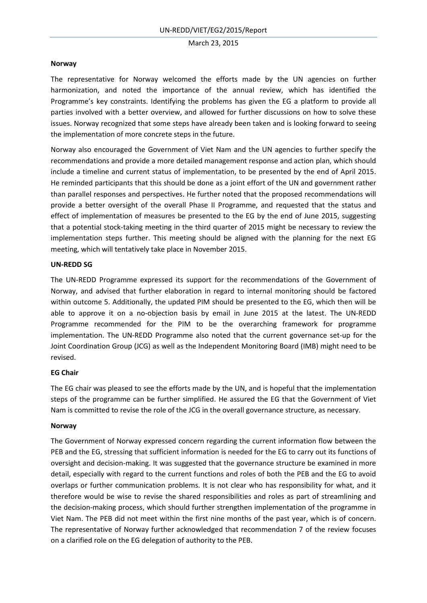#### **Norway**

The representative for Norway welcomed the efforts made by the UN agencies on further harmonization, and noted the importance of the annual review, which has identified the Programme's key constraints. Identifying the problems has given the EG a platform to provide all parties involved with a better overview, and allowed for further discussions on how to solve these issues. Norway recognized that some steps have already been taken and is looking forward to seeing the implementation of more concrete steps in the future.

Norway also encouraged the Government of Viet Nam and the UN agencies to further specify the recommendations and provide a more detailed management response and action plan, which should include a timeline and current status of implementation, to be presented by the end of April 2015. He reminded participants that this should be done as a joint effort of the UN and government rather than parallel responses and perspectives. He further noted that the proposed recommendations will provide a better oversight of the overall Phase II Programme, and requested that the status and effect of implementation of measures be presented to the EG by the end of June 2015, suggesting that a potential stock-taking meeting in the third quarter of 2015 might be necessary to review the implementation steps further. This meeting should be aligned with the planning for the next EG meeting, which will tentatively take place in November 2015.

# **UN-REDD SG**

The UN-REDD Programme expressed its support for the recommendations of the Government of Norway, and advised that further elaboration in regard to internal monitoring should be factored within outcome 5. Additionally, the updated PIM should be presented to the EG, which then will be able to approve it on a no-objection basis by email in June 2015 at the latest. The UN-REDD Programme recommended for the PIM to be the overarching framework for programme implementation. The UN-REDD Programme also noted that the current governance set-up for the Joint Coordination Group (JCG) as well as the Independent Monitoring Board (IMB) might need to be revised.

# **EG Chair**

The EG chair was pleased to see the efforts made by the UN, and is hopeful that the implementation steps of the programme can be further simplified. He assured the EG that the Government of Viet Nam is committed to revise the role of the JCG in the overall governance structure, as necessary.

# **Norway**

The Government of Norway expressed concern regarding the current information flow between the PEB and the EG, stressing that sufficient information is needed for the EG to carry out its functions of oversight and decision-making. It was suggested that the governance structure be examined in more detail, especially with regard to the current functions and roles of both the PEB and the EG to avoid overlaps or further communication problems. It is not clear who has responsibility for what, and it therefore would be wise to revise the shared responsibilities and roles as part of streamlining and the decision-making process, which should further strengthen implementation of the programme in Viet Nam. The PEB did not meet within the first nine months of the past year, which is of concern. The representative of Norway further acknowledged that recommendation 7 of the review focuses on a clarified role on the EG delegation of authority to the PEB.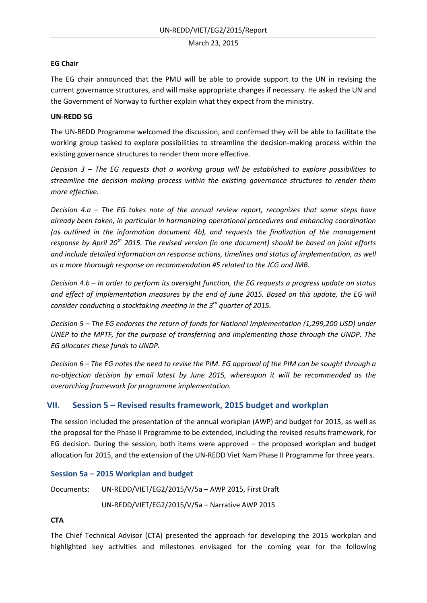# **EG Chair**

The EG chair announced that the PMU will be able to provide support to the UN in revising the current governance structures, and will make appropriate changes if necessary. He asked the UN and the Government of Norway to further explain what they expect from the ministry.

# **UN-REDD SG**

The UN-REDD Programme welcomed the discussion, and confirmed they will be able to facilitate the working group tasked to explore possibilities to streamline the decision-making process within the existing governance structures to render them more effective.

*Decision 3 – The EG requests that a working group will be established to explore possibilities to streamline the decision making process within the existing governance structures to render them more effective.* 

*Decision 4.a – The EG takes note of the annual review report, recognizes that some steps have already been taken, in particular in harmonizing operational procedures and enhancing coordination (as outlined in the information document 4b), and requests the finalization of the management response by April 20th 2015. The revised version (in one document) should be based on joint efforts and include detailed information on response actions, timelines and status of implementation, as well as a more thorough response on recommendation #5 related to the JCG and IMB.* 

*Decision 4.b – In order to perform its oversight function, the EG requests a progress update on status and effect of implementation measures by the end of June 2015. Based on this update, the EG will consider conducting a stocktaking meeting in the 3rd quarter of 2015.*

*Decision 5 – The EG endorses the return of funds for National Implementation (1,299,200 USD) under UNEP to the MPTF, for the purpose of transferring and implementing those through the UNDP. The EG allocates these funds to UNDP.* 

*Decision 6 – The EG notes the need to revise the PIM. EG approval of the PIM can be sought through a no-objection decision by email latest by June 2015, whereupon it will be recommended as the overarching framework for programme implementation.*

# **VII. Session 5 – Revised results framework, 2015 budget and workplan**

The session included the presentation of the annual workplan (AWP) and budget for 2015, as well as the proposal for the Phase II Programme to be extended, including the revised results framework, for EG decision. During the session, both items were approved  $-$  the proposed workplan and budget allocation for 2015, and the extension of the UN-REDD Viet Nam Phase II Programme for three years.

# **Session 5a – 2015 Workplan and budget**

Documents: UN-REDD/VIET/EG2/2015/V/5a – AWP 2015, First Draft

UN-REDD/VIET/EG2/2015/V/5a – Narrative AWP 2015

# **CTA**

The Chief Technical Advisor (CTA) presented the approach for developing the 2015 workplan and highlighted key activities and milestones envisaged for the coming year for the following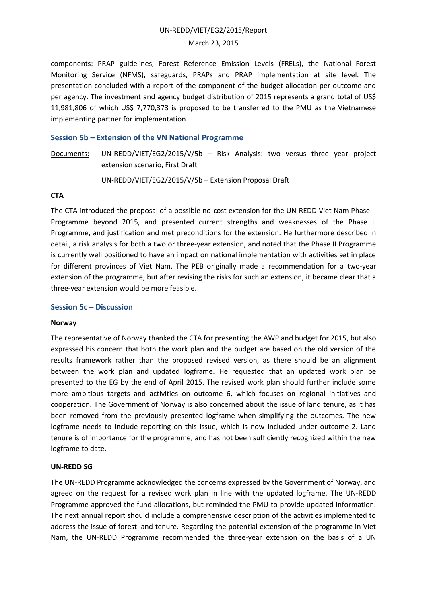components: PRAP guidelines, Forest Reference Emission Levels (FRELs), the National Forest Monitoring Service (NFMS), safeguards, PRAPs and PRAP implementation at site level. The presentation concluded with a report of the component of the budget allocation per outcome and per agency. The investment and agency budget distribution of 2015 represents a grand total of US\$ 11,981,806 of which US\$ 7,770,373 is proposed to be transferred to the PMU as the Vietnamese implementing partner for implementation.

#### **Session 5b – Extension of the VN National Programme**

Documents: UN-REDD/VIET/EG2/2015/V/5b – Risk Analysis: two versus three year project extension scenario, First Draft

UN-REDD/VIET/EG2/2015/V/5b – Extension Proposal Draft

#### **CTA**

The CTA introduced the proposal of a possible no-cost extension for the UN-REDD Viet Nam Phase II Programme beyond 2015, and presented current strengths and weaknesses of the Phase II Programme, and justification and met preconditions for the extension. He furthermore described in detail, a risk analysis for both a two or three-year extension, and noted that the Phase II Programme is currently well positioned to have an impact on national implementation with activities set in place for different provinces of Viet Nam. The PEB originally made a recommendation for a two-year extension of the programme, but after revising the risks for such an extension, it became clear that a three-year extension would be more feasible.

#### **Session 5c – Discussion**

#### **Norway**

The representative of Norway thanked the CTA for presenting the AWP and budget for 2015, but also expressed his concern that both the work plan and the budget are based on the old version of the results framework rather than the proposed revised version, as there should be an alignment between the work plan and updated logframe. He requested that an updated work plan be presented to the EG by the end of April 2015. The revised work plan should further include some more ambitious targets and activities on outcome 6, which focuses on regional initiatives and cooperation. The Government of Norway is also concerned about the issue of land tenure, as it has been removed from the previously presented logframe when simplifying the outcomes. The new logframe needs to include reporting on this issue, which is now included under outcome 2. Land tenure is of importance for the programme, and has not been sufficiently recognized within the new logframe to date.

#### **UN-REDD SG**

The UN-REDD Programme acknowledged the concerns expressed by the Government of Norway, and agreed on the request for a revised work plan in line with the updated logframe. The UN-REDD Programme approved the fund allocations, but reminded the PMU to provide updated information. The next annual report should include a comprehensive description of the activities implemented to address the issue of forest land tenure. Regarding the potential extension of the programme in Viet Nam, the UN-REDD Programme recommended the three-year extension on the basis of a UN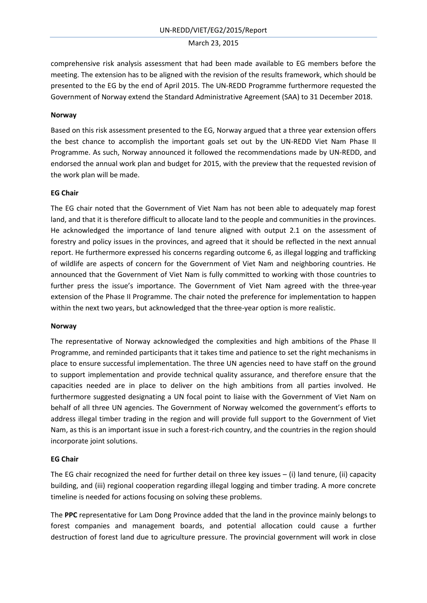comprehensive risk analysis assessment that had been made available to EG members before the meeting. The extension has to be aligned with the revision of the results framework, which should be presented to the EG by the end of April 2015. The UN-REDD Programme furthermore requested the Government of Norway extend the Standard Administrative Agreement (SAA) to 31 December 2018.

# **Norway**

Based on this risk assessment presented to the EG, Norway argued that a three year extension offers the best chance to accomplish the important goals set out by the UN-REDD Viet Nam Phase II Programme. As such, Norway announced it followed the recommendations made by UN-REDD, and endorsed the annual work plan and budget for 2015, with the preview that the requested revision of the work plan will be made.

# **EG Chair**

The EG chair noted that the Government of Viet Nam has not been able to adequately map forest land, and that it is therefore difficult to allocate land to the people and communities in the provinces. He acknowledged the importance of land tenure aligned with output 2.1 on the assessment of forestry and policy issues in the provinces, and agreed that it should be reflected in the next annual report. He furthermore expressed his concerns regarding outcome 6, as illegal logging and trafficking of wildlife are aspects of concern for the Government of Viet Nam and neighboring countries. He announced that the Government of Viet Nam is fully committed to working with those countries to further press the issue's importance. The Government of Viet Nam agreed with the three-year extension of the Phase II Programme. The chair noted the preference for implementation to happen within the next two years, but acknowledged that the three-year option is more realistic.

# **Norway**

The representative of Norway acknowledged the complexities and high ambitions of the Phase II Programme, and reminded participants that it takes time and patience to set the right mechanisms in place to ensure successful implementation. The three UN agencies need to have staff on the ground to support implementation and provide technical quality assurance, and therefore ensure that the capacities needed are in place to deliver on the high ambitions from all parties involved. He furthermore suggested designating a UN focal point to liaise with the Government of Viet Nam on behalf of all three UN agencies. The Government of Norway welcomed the government's efforts to address illegal timber trading in the region and will provide full support to the Government of Viet Nam, as this is an important issue in such a forest-rich country, and the countries in the region should incorporate joint solutions.

# **EG Chair**

The EG chair recognized the need for further detail on three key issues – (i) land tenure, (ii) capacity building, and (iii) regional cooperation regarding illegal logging and timber trading. A more concrete timeline is needed for actions focusing on solving these problems.

The **PPC** representative for Lam Dong Province added that the land in the province mainly belongs to forest companies and management boards, and potential allocation could cause a further destruction of forest land due to agriculture pressure. The provincial government will work in close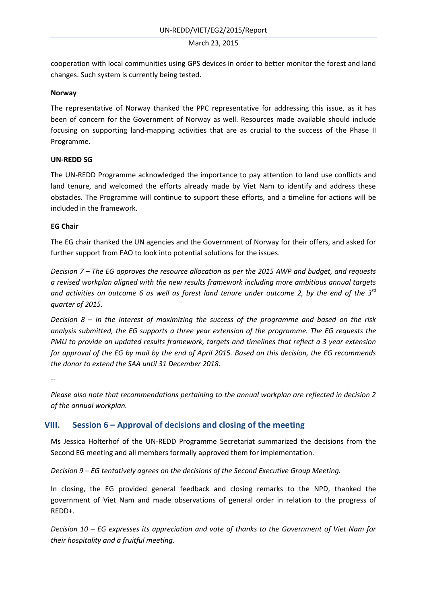cooperation with local communities using GPS devices in order to better monitor the forest and land changes. Such system is currently being tested.

# **Norway**

The representative of Norway thanked the PPC representative for addressing this issue, as it has been of concern for the Government of Norway as well. Resources made available should include focusing on supporting land-mapping activities that are as crucial to the success of the Phase II Programme.

# **UN-REDD SG**

The UN-REDD Programme acknowledged the importance to pay attention to land use conflicts and land tenure, and welcomed the efforts already made by Viet Nam to identify and address these obstacles. The Programme will continue to support these efforts, and a timeline for actions will be included in the framework.

# **EG Chair**

The EG chair thanked the UN agencies and the Government of Norway for their offers, and asked for further support from FAO to look into potential solutions for the issues.

*Decision 7 – The EG approves the resource allocation as per the 2015 AWP and budget, and requests a revised workplan aligned with the new results framework including more ambitious annual targets and activities on outcome 6 as well as forest land tenure under outcome 2, by the end of the 3rd quarter of 2015.* 

*Decision 8 – In the interest of maximizing the success of the programme and based on the risk analysis submitted, the EG supports a three year extension of the programme. The EG requests the PMU to provide an updated results framework, targets and timelines that reflect a 3 year extension for approval of the EG by mail by the end of April 2015. Based on this decision, the EG recommends the donor to extend the SAA until 31 December 2018.* 

*--*

*Please also note that recommendations pertaining to the annual workplan are reflected in decision 2 of the annual workplan.* 

# **VIII. Session 6 – Approval of decisions and closing of the meeting**

Ms Jessica Holterhof of the UN-REDD Programme Secretariat summarized the decisions from the Second EG meeting and all members formally approved them for implementation.

*Decision 9 – EG tentatively agrees on the decisions of the Second Executive Group Meeting.* 

In closing, the EG provided general feedback and closing remarks to the NPD, thanked the government of Viet Nam and made observations of general order in relation to the progress of REDD+.

*Decision 10 – EG expresses its appreciation and vote of thanks to the Government of Viet Nam for their hospitality and a fruitful meeting.*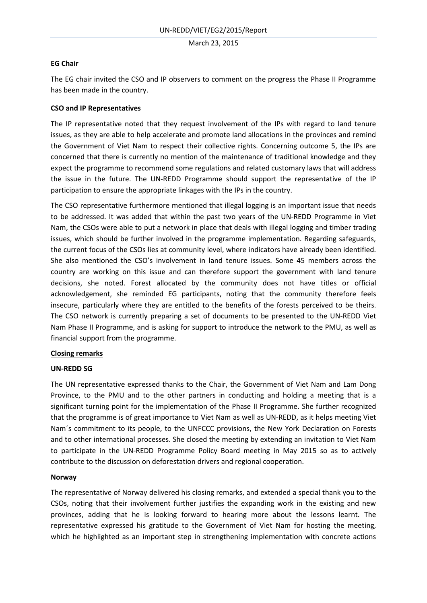# **EG Chair**

The EG chair invited the CSO and IP observers to comment on the progress the Phase II Programme has been made in the country.

# **CSO and IP Representatives**

The IP representative noted that they request involvement of the IPs with regard to land tenure issues, as they are able to help accelerate and promote land allocations in the provinces and remind the Government of Viet Nam to respect their collective rights. Concerning outcome 5, the IPs are concerned that there is currently no mention of the maintenance of traditional knowledge and they expect the programme to recommend some regulations and related customary laws that will address the issue in the future. The UN-REDD Programme should support the representative of the IP participation to ensure the appropriate linkages with the IPs in the country.

The CSO representative furthermore mentioned that illegal logging is an important issue that needs to be addressed. It was added that within the past two years of the UN-REDD Programme in Viet Nam, the CSOs were able to put a network in place that deals with illegal logging and timber trading issues, which should be further involved in the programme implementation. Regarding safeguards, the current focus of the CSOs lies at community level, where indicators have already been identified. She also mentioned the CSO's involvement in land tenure issues. Some 45 members across the country are working on this issue and can therefore support the government with land tenure decisions, she noted. Forest allocated by the community does not have titles or official acknowledgement, she reminded EG participants, noting that the community therefore feels insecure, particularly where they are entitled to the benefits of the forests perceived to be theirs. The CSO network is currently preparing a set of documents to be presented to the UN-REDD Viet Nam Phase II Programme, and is asking for support to introduce the network to the PMU, as well as financial support from the programme.

# **Closing remarks**

# **UN-REDD SG**

The UN representative expressed thanks to the Chair, the Government of Viet Nam and Lam Dong Province, to the PMU and to the other partners in conducting and holding a meeting that is a significant turning point for the implementation of the Phase II Programme. She further recognized that the programme is of great importance to Viet Nam as well as UN-REDD, as it helps meeting Viet Nam´s commitment to its people, to the UNFCCC provisions, the New York Declaration on Forests and to other international processes. She closed the meeting by extending an invitation to Viet Nam to participate in the UN-REDD Programme Policy Board meeting in May 2015 so as to actively contribute to the discussion on deforestation drivers and regional cooperation.

# **Norway**

The representative of Norway delivered his closing remarks, and extended a special thank you to the CSOs, noting that their involvement further justifies the expanding work in the existing and new provinces, adding that he is looking forward to hearing more about the lessons learnt. The representative expressed his gratitude to the Government of Viet Nam for hosting the meeting, which he highlighted as an important step in strengthening implementation with concrete actions